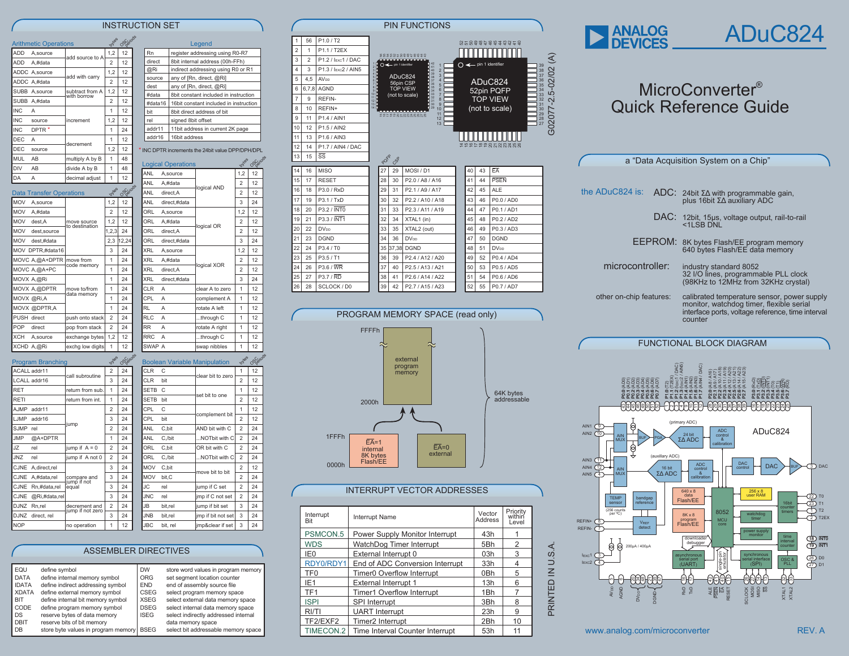## INSTRUCTION SET

|                 | <b>Arithmetic Operations</b>    |                                | Dytes          | OSerrods        |
|-----------------|---------------------------------|--------------------------------|----------------|-----------------|
| ADD             | A, source                       | add source to A                | 1,2            | 12              |
| ADD             | A,#data                         |                                | $\overline{a}$ | 12              |
|                 | ADDC A, source                  | add with carry                 | 1.2            | 12              |
|                 | ADDC A,#data                    |                                | $\overline{2}$ | 12              |
|                 | SUBB A, source                  | subtract from A<br>with horrow | 1,2            | 12              |
|                 | SUBB A,#data                    |                                | $\overline{a}$ | 12              |
| IN <sub>C</sub> | A                               |                                | 1              | 12              |
| <b>INC</b>      | source                          | increment                      | 1,2            | 12              |
| IN <sub>C</sub> | DPTR <sup>*</sup>               |                                | 1              | 24              |
| DEC.            | A                               |                                | 1              | 12              |
| <b>DEC</b>      | source                          | decrement                      | 1,2            | 12              |
| MUL.            | AB                              | multiply A by B                | 1              | 48              |
| <b>DIV</b>      | AB                              | divide A by B                  | 1              | 48              |
|                 |                                 |                                |                |                 |
| DA              | A                               | decimal adjust                 | 1              | 12              |
|                 | <b>Data Transfer Operations</b> |                                | Dyles          |                 |
| <b>MOV</b>      | A.source                        |                                | 1,2            | 12              |
| <b>MOV</b>      | A.#data                         |                                | $\overline{a}$ | 12              |
| <b>MOV</b>      | dest.A                          | move source                    | 1,2            | OSperiods<br>12 |
| <b>MOV</b>      | dest.source                     | to destination                 | 1,2,3          | 24              |
| <b>MOV</b>      | dest.#data                      |                                | 2,3            | 12,24           |
|                 | MOV DPTR,#data16                |                                | 3              | 24              |
|                 | MOVC A,@A+DPTR                  | move from                      | 1              | 24              |
|                 | MOVC A,@A+PC                    | code memory                    | $\overline{1}$ | 24              |
|                 | MOVX A,@Ri                      |                                | 1              | 24              |
|                 | MOVX A,@DPTR                    | move to/from                   | 1              | 24              |
|                 | MOVX @Ri,A                      | data memorv                    | $\overline{1}$ | 24              |

PUSH direct push onto stack 2 24 POP direct pop from stack 2 24 XCH A, source exchange bytes 1.2 12 XCHD A,@Ri exchg low digits 1 12

ACALL addr11 2 24 all subroutin  $LCALL addr16$  Call subloushed  $3 \mid 24$ RET return from sub. 1 24 RETI return from int. 1 24 AJMP addr11  $\begin{array}{|c|c|c|c|c|c|}\n\hline\n\text{A} & \text{and} & \text{A} & \text{A} \\
\hline\n\end{array}$  $LJMP$  addr16 3 3 24 mr SJMP rel  $\begin{array}{|c|c|c|c|c|c|}\n\hline\n&2 & 24 \\
\hline\n\end{array}$ JMP @A+DPTR 1 24  $JZ$  rel  $\vert$  jump if A = 0  $\vert$  2  $\vert$  24 JNZ rel jump if A not 0 2 24 CJNE A, direct, rel 3 24  $\overline{\text{CJNE}}$  A,#data,rel compare and  $\overline{3}$  24 compare and<br>jump if not<br>lequal CJNE Rn,#data,rel equal 3 24  $CME \quad \textcircled{R}$ Ri,#data,rel 3 3 24 DJNZ Rn,rel decrement and 2 24 cordinent and<br>imp if not zero  $DMZ$  direct, rel  $3 \mid 24$ NOP no operation 1 12

**oytes** OSC<sub>O</sub>

Program Branchin

| ₹                       |                                                |                                       |                          |                           |                                                                      |                     |           |  |  |  |  |  |  |
|-------------------------|------------------------------------------------|---------------------------------------|--------------------------|---------------------------|----------------------------------------------------------------------|---------------------|-----------|--|--|--|--|--|--|
| $\overline{c}$          |                                                | Rn<br>register addressing using R0-R7 |                          |                           |                                                                      |                     |           |  |  |  |  |  |  |
| $\overline{c}$          |                                                | direct                                |                          |                           | 8bit internal address (00h-FFh)                                      |                     |           |  |  |  |  |  |  |
| $\overline{c}$          |                                                | @Ri                                   |                          |                           | indirect addressing using R0 or R1                                   |                     |           |  |  |  |  |  |  |
| 2                       |                                                | source                                |                          |                           | any of [Rn, direct, @Ri]                                             |                     |           |  |  |  |  |  |  |
| $\overline{c}$          |                                                | dest                                  | any of [Rn, direct, @Ri] |                           |                                                                      |                     |           |  |  |  |  |  |  |
| $\overline{c}$          |                                                | #data                                 |                          |                           | 8bit constant included in instruction                                |                     |           |  |  |  |  |  |  |
| $\overline{c}$          |                                                | #data16<br>bit                        |                          |                           | 16bit constant included in instruction<br>8bit direct address of bit |                     |           |  |  |  |  |  |  |
| $\overline{c}$          |                                                | rel                                   |                          | signed 8bit offset        |                                                                      |                     |           |  |  |  |  |  |  |
| 4                       |                                                | addr11                                |                          |                           | 11bit address in current 2K page                                     |                     |           |  |  |  |  |  |  |
| $\overline{c}$          |                                                | addr16                                |                          | 16bit address             |                                                                      |                     |           |  |  |  |  |  |  |
| $\overline{c}$          | NC DPTR increments the 24bit value DPP/DPH/DPL |                                       |                          |                           |                                                                      |                     |           |  |  |  |  |  |  |
| 8                       |                                                |                                       |                          |                           |                                                                      |                     |           |  |  |  |  |  |  |
|                         |                                                |                                       |                          | <b>Logical Operations</b> |                                                                      | Dyles               | OS errode |  |  |  |  |  |  |
| 8                       |                                                | ANL                                   |                          | A,source                  |                                                                      | 1,2                 | 12        |  |  |  |  |  |  |
| $\overline{c}$          |                                                | ANL                                   |                          | A,#data                   |                                                                      | $\overline{2}$      | 12        |  |  |  |  |  |  |
| <b>Seitads</b>          |                                                | ANL                                   |                          | direct, A                 | logical AND                                                          | $\overline{c}$      | 12        |  |  |  |  |  |  |
| 2                       |                                                | ANL                                   |                          | direct,#data              |                                                                      | 3                   | 24        |  |  |  |  |  |  |
| $\overline{c}$          |                                                | ORL                                   |                          | A, source                 |                                                                      | 1,2                 | 12        |  |  |  |  |  |  |
| $\overline{\mathbf{c}}$ |                                                | ORL                                   |                          | A,#data                   |                                                                      | 2                   | 12        |  |  |  |  |  |  |
| $\overline{\mathbf{4}}$ |                                                | ORL                                   |                          | direct, A                 | logical OR                                                           | $\overline{c}$      | 12        |  |  |  |  |  |  |
| ,24                     |                                                | ORL                                   |                          | direct,#data              |                                                                      | 3                   | 24        |  |  |  |  |  |  |
| $\overline{\mathbf{4}}$ |                                                | <b>XRL</b>                            |                          | A,source                  |                                                                      | 1,2                 | 12        |  |  |  |  |  |  |
| 4                       |                                                | <b>XRL</b>                            |                          | A,#data                   |                                                                      | 2                   | 12        |  |  |  |  |  |  |
| $\overline{4}$          |                                                | <b>XRL</b>                            |                          |                           | logical XOR                                                          | 2                   | 12        |  |  |  |  |  |  |
|                         |                                                |                                       |                          | direct, A                 |                                                                      |                     |           |  |  |  |  |  |  |
| 4                       |                                                | XRL                                   |                          | direct,#data              |                                                                      | 3                   | 24        |  |  |  |  |  |  |
| 4                       |                                                | CLR                                   | Α                        |                           | clear A to zero                                                      | 1                   | 12        |  |  |  |  |  |  |
| 4                       |                                                | CPL                                   | A                        |                           | 12<br>complement A<br>1                                              |                     |           |  |  |  |  |  |  |
| 4                       |                                                | RL                                    | Α                        |                           | rotate A left                                                        | 1                   | 12        |  |  |  |  |  |  |
| 4                       |                                                | <b>RLC</b>                            | Α                        |                           | through C                                                            | 1                   | 12        |  |  |  |  |  |  |
| 4                       |                                                | <b>RR</b>                             | A                        |                           | rotate A right                                                       | 1                   | 12        |  |  |  |  |  |  |
| $\overline{c}$          |                                                | <b>RRC</b>                            | A                        |                           | through C                                                            | 1                   | 12        |  |  |  |  |  |  |
| $\overline{c}$          |                                                | SWAP A                                |                          |                           | swap nibbles                                                         | 1                   | 12        |  |  |  |  |  |  |
| <b>Certods</b>          |                                                |                                       |                          |                           | <b>Boolean Variable Manipulation</b>                                 | Dyles               | OSeriods  |  |  |  |  |  |  |
| 4                       |                                                | <b>CLR</b>                            | С                        |                           |                                                                      | 1                   | 12        |  |  |  |  |  |  |
| 4                       |                                                | CLR                                   | bit                      |                           | clear bit to zero                                                    | $\overline{c}$      | 12        |  |  |  |  |  |  |
| 4                       |                                                | SETB                                  | Ċ                        |                           |                                                                      | 1                   | 12        |  |  |  |  |  |  |
| 4                       |                                                | <b>SETB</b>                           | bit                      |                           | set bit to one                                                       |                     | 12        |  |  |  |  |  |  |
| 4                       |                                                | CPL                                   | Ċ                        |                           |                                                                      | $\overline{c}$<br>1 | 12        |  |  |  |  |  |  |
|                         |                                                |                                       |                          |                           | complement bit                                                       |                     |           |  |  |  |  |  |  |
| 4                       |                                                | CPL                                   | bit                      |                           |                                                                      | $\overline{2}$      | 12        |  |  |  |  |  |  |
| 4                       |                                                | ANL                                   | C, bit                   |                           | AND bit with C                                                       | $\overline{2}$      | 24        |  |  |  |  |  |  |
| 4                       |                                                | ANL                                   | C,/bit                   |                           | NOTbit with C                                                        | $\overline{c}$      | 24<br>24  |  |  |  |  |  |  |
| 4                       |                                                | ORL                                   | C,bit                    |                           | OR bit with C<br>2                                                   |                     |           |  |  |  |  |  |  |
| 4                       |                                                | ORL                                   | C,/bit                   |                           | NOTbit with C                                                        | 2                   | 24        |  |  |  |  |  |  |
| 4                       |                                                | MOV                                   | C,bit                    |                           | move bit to bit                                                      | 2                   | 12        |  |  |  |  |  |  |
| 4                       |                                                | <b>MOV</b>                            | bit.C                    |                           |                                                                      | $\overline{2}$      | 24        |  |  |  |  |  |  |
| 4                       |                                                | JC                                    | rel                      |                           | jump if C set                                                        | $\overline{c}$      | 24        |  |  |  |  |  |  |
| 4                       |                                                | <b>JNC</b>                            | rel                      |                           | jmp if C not set                                                     | 2                   | 24        |  |  |  |  |  |  |
| 4                       |                                                | JB                                    | bit,rel                  |                           | jump if bit set<br>3<br>24                                           |                     |           |  |  |  |  |  |  |
| 4                       |                                                | <b>JNB</b>                            | bit,rel                  |                           | imp if bit not set                                                   | 3                   | 24        |  |  |  |  |  |  |

Legend

|                | <b>PIN FUNCTIONS</b>                                                               |                                 |                                        |                                    |                                 |                                                                                                          |                                 |                              |                             |                                     |  |
|----------------|------------------------------------------------------------------------------------|---------------------------------|----------------------------------------|------------------------------------|---------------------------------|----------------------------------------------------------------------------------------------------------|---------------------------------|------------------------------|-----------------------------|-------------------------------------|--|
| 1              | 56                                                                                 | P1.0 / T2                       |                                        |                                    |                                 |                                                                                                          |                                 |                              |                             |                                     |  |
| $\overline{2}$ | 1                                                                                  | P1.1 / T2EX                     |                                        |                                    |                                 |                                                                                                          | 5589949949945                   |                              |                             |                                     |  |
| 3              | 2                                                                                  | P1.2 / IExc1 / DAC              |                                        |                                    |                                 | 883885589459444                                                                                          |                                 |                              |                             |                                     |  |
| 4              | 3                                                                                  | P1.3 / IExc2 / AIN5             |                                        | <b>CONTRACTOR</b><br>$\frac{2}{3}$ | $O \leftarrow$ pin 1 identifier | -----------------<br>42 41 40 39 38 37 36 35 34 33 32 31 30<br>$\overline{1}$<br>$\overline{\mathbf{c}}$ | $O \leftarrow$ pin 1 identifier |                              | G02077-2.5-02/02 (A         |                                     |  |
| 5              | 4,5                                                                                | <b>AVDD</b>                     |                                        |                                    |                                 | 3<br>ADuC824<br>$\overline{4}$<br>56pin CSP                                                              | ADuC824                         |                              |                             |                                     |  |
| 6              | 6, 7, 8                                                                            | <b>AGND</b>                     |                                        | 456789011                          |                                 | 5<br><b>TOP VIEW</b><br>6<br>$\overline{7}$                                                              |                                 | 52pin PQFP                   |                             | 39 38 37 36 35 34 33 32 31 30 29 28 |  |
| 7              | 9                                                                                  | <b>REFIN-</b>                   |                                        | $\frac{12}{13}$                    |                                 | (not to scale)<br>8<br>$\Omega$                                                                          |                                 | <b>TOP VIEW</b>              |                             |                                     |  |
| 8              | 10                                                                                 | REFIN+                          |                                        | 14                                 |                                 | 29<br>10<br>11<br>55588588858                                                                            |                                 | (not to scale)               |                             |                                     |  |
| 9              | 11                                                                                 | P1.4 / AIN1                     |                                        |                                    |                                 | 12<br>13                                                                                                 |                                 |                              |                             | 27                                  |  |
| 10<br>11       | 12<br>13                                                                           | P1.5 / AIN2<br>P1.6 / AIN3      |                                        |                                    |                                 |                                                                                                          |                                 |                              |                             |                                     |  |
| 12             | 14                                                                                 | P1.7 / AIN4 / DAC               |                                        |                                    |                                 |                                                                                                          |                                 | 1290222533388                |                             |                                     |  |
| 13             | 15                                                                                 | SS                              |                                        |                                    |                                 |                                                                                                          |                                 |                              |                             |                                     |  |
|                |                                                                                    |                                 |                                        | POFR                               | CSR                             |                                                                                                          |                                 |                              |                             |                                     |  |
| 14             | 16                                                                                 | <b>MISO</b>                     |                                        | 27                                 | 29                              | MOSI / D1                                                                                                | 40                              | ΕĀ<br>43                     |                             |                                     |  |
| 15             | 17                                                                                 | <b>RESET</b>                    |                                        | 28                                 | 30                              | P2.0 / A8 / A16                                                                                          | 41                              | <b>PSEN</b><br>44            |                             |                                     |  |
| 16<br>17       | 18<br>19                                                                           | P3.0 / RxD<br>P3.1 / TxD        |                                        | 29<br>30                           | 31<br>32                        | P2.1 / A9 / A17<br>P2.2 / A10 / A18                                                                      | 42<br>43                        | 45<br>ALE<br>46              | P0.0 / AD0                  |                                     |  |
| 18             | 20                                                                                 | P3.2 / INT0                     |                                        | 31                                 | 33                              | P2.3 / A11 / A19                                                                                         | 44                              | 47                           | P0.1 / AD1                  |                                     |  |
| 19             | 21                                                                                 | P3.3 / INT1                     |                                        | 32                                 | 34                              | XTAL1 (in)                                                                                               | 45                              | 48                           | P0.2 / AD2                  |                                     |  |
| 20             | 22                                                                                 | <b>DV<sub>DD</sub></b>          |                                        | 33                                 | 35                              | XTAL2 (out)                                                                                              | 46                              | 49                           | P0.3 / AD3                  |                                     |  |
| 21             | 23                                                                                 | <b>DGND</b>                     |                                        | 34                                 | 36                              | <b>DV<sub>DD</sub></b>                                                                                   | 47                              | 50<br><b>DGND</b>            |                             |                                     |  |
| 22             | 24                                                                                 | P3.4 / T0                       |                                        | 35                                 | 37,38                           | <b>DGND</b>                                                                                              | 48                              | 51<br><b>DV<sub>DD</sub></b> |                             |                                     |  |
| 23             | 25                                                                                 | P3.5 / T1                       |                                        | 36                                 | 39                              | P2.4 / A12 / A20                                                                                         | 49                              | 52                           | P0.4 / AD4                  |                                     |  |
| 24             | 26                                                                                 | P3.6 / WR                       |                                        | 37                                 | 40                              | P2.5 / A13 / A21                                                                                         | 50                              | 53                           | P0.5 / AD5                  |                                     |  |
| 25             | 27                                                                                 | <b>P3.7 / RD</b><br>SCLOCK / D0 |                                        | 38                                 | 41                              | P2.6 / A14 / A22                                                                                         | 51                              | 54                           | P0.6 / AD6                  |                                     |  |
| 26             | 28                                                                                 |                                 |                                        | 39                                 | 42                              | P2.7 / A15 / A23                                                                                         | 52                              | 55                           | P0.7 / AD7                  |                                     |  |
|                |                                                                                    |                                 |                                        | FFFFh                              |                                 | PROGRAM MEMORY SPACE (read only)                                                                         |                                 |                              |                             |                                     |  |
|                | external<br>program<br>memory<br>64K bytes<br>addressable<br>2000h                 |                                 |                                        |                                    |                                 |                                                                                                          |                                 |                              |                             |                                     |  |
|                | 1FFFh<br>$EA=1$<br>$EA=0$<br>internal<br>external<br>8K bytes<br>Flash/EE<br>0000h |                                 |                                        |                                    |                                 |                                                                                                          |                                 |                              |                             |                                     |  |
|                | <b>INTERRUPT VECTOR ADDRESSES</b>                                                  |                                 |                                        |                                    |                                 |                                                                                                          |                                 |                              |                             |                                     |  |
|                | Bit                                                                                | Interrupt                       |                                        | <b>Interrupt Name</b>              |                                 |                                                                                                          |                                 | Vector<br>Address            | Priority<br>within<br>Level |                                     |  |
|                |                                                                                    | PSMCON.5                        |                                        |                                    |                                 | Power Supply Monitor Interrupt                                                                           |                                 | 43h                          | 1                           |                                     |  |
|                | <b>WDS</b>                                                                         |                                 |                                        |                                    |                                 | WatchDog Timer Interrupt                                                                                 |                                 | 5Bh                          | 2                           |                                     |  |
|                | IE <sub>0</sub>                                                                    |                                 |                                        | External Interrupt 0               |                                 |                                                                                                          |                                 | 03h                          | 3                           | <b>PRINTED IN U.S.A</b>             |  |
|                | TF <sub>0</sub>                                                                    | RDY0/RDY1                       |                                        |                                    |                                 | End of ADC Conversion Interrupt<br>Timer0 Overflow Interrupt                                             |                                 | 33h                          | 4<br>5                      |                                     |  |
|                | IE <sub>1</sub>                                                                    |                                 |                                        | External Interrupt 1               |                                 |                                                                                                          |                                 | 0Bh<br>13h                   | 6                           |                                     |  |
|                | TF1                                                                                |                                 |                                        |                                    |                                 | Timer1 Overflow Interrupt                                                                                |                                 | 1Bh                          | 7                           |                                     |  |
|                |                                                                                    |                                 |                                        |                                    |                                 |                                                                                                          |                                 | 3Bh                          | 8                           |                                     |  |
|                | <b>ISPI</b>                                                                        |                                 | SPI Interrupt<br><b>UART</b> Interrupt |                                    |                                 |                                                                                                          |                                 |                              |                             |                                     |  |



## INTERRUPT VECTOR ADDRESSES

| Interrupt<br>Bit               | <b>Interrupt Name</b>            | Vector<br><b>Address</b> | Priority<br>within<br>Level |
|--------------------------------|----------------------------------|--------------------------|-----------------------------|
| PSMCON.5                       | Power Supply Monitor Interrupt   | 43h                      |                             |
| <b>WDS</b>                     | WatchDog Timer Interrupt         | 5 <sub>Bh</sub>          | 2                           |
| IE <sub>0</sub>                | External Interrupt 0             | 03h                      | 3                           |
| RDY0/RDY1                      | End of ADC Conversion Interrupt  | 33h                      | 4                           |
| TF <sub>0</sub>                | Timer0 Overflow Interrupt        | 0 <sub>Bh</sub>          | 5                           |
| IE <sub>1</sub>                | <b>External Interrupt 1</b>      | 13h                      | 6                           |
| TF <sub>1</sub>                | <b>Timer1 Overflow Interrupt</b> | 1 <sub>Bh</sub>          |                             |
| <b>ISPI</b>                    | <b>SPI</b> Interrupt             | 3Bh                      | 8                           |
| R <sub>1</sub> /T <sub>1</sub> | <b>UART</b> Interrupt            | 23h                      | 9                           |
| TF2/EXF2                       | Timer <sub>2</sub> Interrupt     | 2 <sub>Bh</sub>          | 10                          |
| TIMECON.2                      | Time Interval Counter Interrupt  | 53h                      | 11                          |

# **ANALOG**<br>DEVICES

## MicroConverter® Quick Reference Guide

ADuC824

|                         | a "Data Acquisition System on a Chip"                                                                                                                   |
|-------------------------|---------------------------------------------------------------------------------------------------------------------------------------------------------|
|                         |                                                                                                                                                         |
| the ADuC824 is:         | ADC: 24bit $\Sigma\Delta$ with programmable gain,<br>plus 16bit ΣΔ auxiliary ADC                                                                        |
|                         | DAC: 12bit, 15µs, voltage output, rail-to-rail<br><1LSB DNL                                                                                             |
| FEPROM:                 | 8K bytes Flash/EE program memory<br>640 bytes Flash/EE data memory                                                                                      |
| microcontroller:        | industry standard 8052<br>32 I/O lines, programmable PLL clock<br>(98KHz to 12MHz from 32KHz crystal)                                                   |
| other on-chip features: | calibrated temperature sensor, power supply<br>monitor, watchdog timer, flexible serial<br>interface ports, voltage reference, time interval<br>counter |



## www.analog.com/microconverter REV. A

## ASSEMBLER DIRECTIVES

| EQU          | define symbol                       | <b>DW</b>   | store word values in program memory  |
|--------------|-------------------------------------|-------------|--------------------------------------|
| <b>DATA</b>  | define internal memory symbol       | ORG         | set segment location counter         |
| <b>IDATA</b> | define indirect addressing symbol   | <b>END</b>  | end of assembly source file          |
| <b>XDATA</b> | define external memory symbol       | CSEG        | select program memory space          |
| <b>BIT</b>   | define internal bit memory symbol   | <b>XSEG</b> | select external data memory space    |
| CODE         | define program memory symbol        | <b>DSEG</b> | select internal data memory space    |
| DS           | reserve bytes of data memory        | <b>ISEG</b> | select indirectly addressed internal |
| <b>DBIT</b>  | reserve bits of bit memory          |             | data memory space                    |
| DB           | store byte values in program memory | <b>BSEG</b> | select bit addressable memory space  |
|              |                                     |             |                                      |

JBC bit, rel jmp&clear if set 3 24